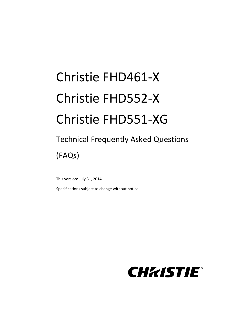# Christie FHD461-X Christie FHD552-X Christie FHD551-XG

# Technical Frequently Asked Questions (FAQs)

This version: July 31, 2014

Specifications subject to change without notice.

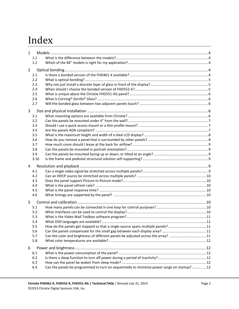# Index

| 1              |      |                                                                                            |  |
|----------------|------|--------------------------------------------------------------------------------------------|--|
|                | 1.1  |                                                                                            |  |
|                | 1.2  |                                                                                            |  |
| $\overline{2}$ |      |                                                                                            |  |
|                | 2.1  |                                                                                            |  |
|                | 2.2  |                                                                                            |  |
|                | 2.3  |                                                                                            |  |
|                | 2.4  |                                                                                            |  |
|                | 2.5  |                                                                                            |  |
|                | 2.6  |                                                                                            |  |
|                | 2.7  |                                                                                            |  |
|                |      |                                                                                            |  |
| 3              |      |                                                                                            |  |
|                | 3.1  |                                                                                            |  |
|                | 3.2  |                                                                                            |  |
|                | 3.3  |                                                                                            |  |
|                | 3.4  |                                                                                            |  |
|                | 3.5  |                                                                                            |  |
|                | 3.6  |                                                                                            |  |
|                | 3.7  |                                                                                            |  |
|                | 3.8  |                                                                                            |  |
|                | 3.9  |                                                                                            |  |
|                | 3.10 |                                                                                            |  |
| 4              |      |                                                                                            |  |
|                | 4.1  |                                                                                            |  |
|                | 4.2  |                                                                                            |  |
|                | 4.3  |                                                                                            |  |
|                | 4.4  |                                                                                            |  |
|                | 4.5  |                                                                                            |  |
|                | 4.6  |                                                                                            |  |
| 5              |      |                                                                                            |  |
|                | 5.1  |                                                                                            |  |
|                | 5.2  |                                                                                            |  |
|                | 5.3  |                                                                                            |  |
|                | 5.4  |                                                                                            |  |
|                | 5.5  | How do the panels get mapped so that a single source spans multiple panels?11              |  |
|                | 5.6  |                                                                                            |  |
|                | 5.7  | Can the color and brightness of different panels be adjusted across the array? 11          |  |
|                | 5.8  |                                                                                            |  |
| 6              |      |                                                                                            |  |
|                | 6.1  |                                                                                            |  |
|                | 6.2  |                                                                                            |  |
|                | 6.3  |                                                                                            |  |
|                | 6.4  | Can the panels be programmed to turn on sequentially to minimize power surge on startup?12 |  |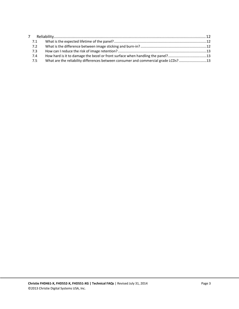| $7^{\circ}$ |     |                                                                                    |  |
|-------------|-----|------------------------------------------------------------------------------------|--|
|             | 7.1 |                                                                                    |  |
|             | 7.2 |                                                                                    |  |
|             | 7.3 |                                                                                    |  |
|             | 7.4 | How hard is it to damage the bezel or front surface when handling the panel?13     |  |
|             | 7.5 | What are the reliability differences between consumer and commercial grade LCDs?13 |  |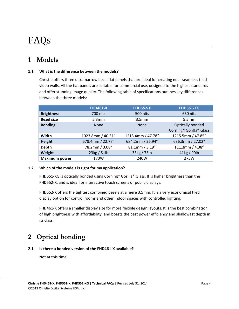# FAQs

# <span id="page-3-0"></span>**1 Models**

#### <span id="page-3-1"></span>**1.1 What is the difference between the models?**

Christie offers three ultra-narrow bezel flat panels that are ideal for creating near-seamless tiled video walls. All the flat panels are suitable for commercial use, designed to the highest standards and offer stunning image quality. The following table of specifications outlines key differences between the three models:

|                      | <b>FHD461-X</b>   | <b>FHD552-X</b>   | <b>FHD551-XG</b>                                                    |
|----------------------|-------------------|-------------------|---------------------------------------------------------------------|
| <b>Brightness</b>    | 700 nits          | 500 nits          | 630 nits                                                            |
| <b>Bezel size</b>    | 5.3mm             | 3.5 <sub>mm</sub> | 5.5 <sub>mm</sub>                                                   |
| <b>Bonding</b>       | <b>None</b>       | <b>None</b>       | Optically bonded<br>Corning <sup>®</sup> Gorilla <sup>®</sup> Glass |
| Width                | 1023.8mm / 40.31" | 1213.4mm / 47.78" | 1215.5mm / 47.85"                                                   |
| Height               | 578.4mm / 22.77"  | 684.2mm / 26.94"  | 686.3mm / 27.02"                                                    |
| Depth                | 78.2mm / 3.08"    | 81.1mm / 3.19"    | 111.3mm / 4.38"                                                     |
| Weight               | 23kg / 51lb       | 33kg / 73lb       | 41kg / 90lb                                                         |
| <b>Maximum power</b> | 170W              | 240W              | 275W                                                                |

#### <span id="page-3-3"></span><span id="page-3-2"></span>**1.2 Which of the models is right for my application?**

FHD551-XG is optically bonded using Corning® Gorilla® Glass. It is higher brightness than the FHD552-X, and is ideal for interactive touch screens or public displays.

FHD552-X offers the tightest combined bezels at a mere 3.5mm. It is a very economical tiled display option for control rooms and other indoor spaces with controlled lighting.

FHD461-X offers a smaller display size for more flexible design layouts. It is the best combination of high brightness with affordability, and boasts the best power efficiency and shallowest depth in its class.

# **2 Optical bonding**

#### <span id="page-3-4"></span>**2.1 Is there a bonded version of the FHD461-X available?**

Not at this time.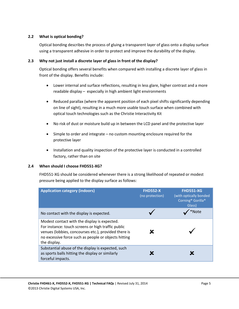#### <span id="page-4-0"></span>**2.2 What is optical bonding?**

Optical bonding describes the process of gluing a transparent layer of glass onto a display surface using a transparent adhesive in order to protect and improve the durability of the display.

#### <span id="page-4-1"></span>**2.3 Why not just install a discrete layer of glass in front of the display?**

Optical bonding offers several benefits when compared with installing a discrete layer of glass in front of the display. Benefits include:

- Lower internal and surface reflections, resulting in less glare, higher contrast and a more readable display – especially in high ambient light environments
- Reduced parallax (where the apparent position of each pixel shifts significantly depending on line of sight), resulting in a much more usable touch surface when combined with optical touch technologies such as the Christie Interactivity Kit
- No risk of dust or moisture build up in between the LCD panel and the protective layer
- Simple to order and integrate no custom mounting enclosure required for the protective layer
- Installation and quality inspection of the protective layer is conducted in a controlled factory, rather than on site

#### <span id="page-4-2"></span>**2.4 When should I choose FHD551-XG?**

FHD551-XG should be considered whenever there is a strong likelihood of repeated or modest pressure being applied to the display surface as follows:

| <b>Application category (indoors)</b>                                                                                                                                                                                              | <b>FHD552-X</b><br>(no protection) | <b>FHD551-XG</b><br>(with optically bonded<br>Corning <sup>®</sup> Gorilla <sup>®</sup><br>Glass) |
|------------------------------------------------------------------------------------------------------------------------------------------------------------------------------------------------------------------------------------|------------------------------------|---------------------------------------------------------------------------------------------------|
| No contact with the display is expected.                                                                                                                                                                                           |                                    | *Note                                                                                             |
| Modest contact with the display is expected.<br>For instance: touch screens or high traffic public<br>venues (lobbies, concourses etc.), provided there is<br>no excessive force such as people or objects hitting<br>the display. |                                    |                                                                                                   |
| Substantial abuse of the display is expected, such<br>as sports balls hitting the display or similarly<br>forceful impacts.                                                                                                        |                                    |                                                                                                   |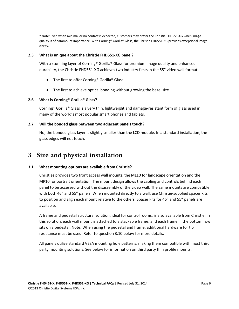\* Note: Even when minimal or no contact is expected, customers may prefer the Christie FHD551-XG when image quality is of paramount importance. With Corning® Gorilla® Glass, the Christie FHD551-XG provides exceptional image clarity.

#### <span id="page-5-0"></span>**2.5 What is unique about the Christie FHD551-XG panel?**

With a stunning layer of Corning<sup>®</sup> Gorilla<sup>®</sup> Glass for premium image quality and enhanced durability, the Christie FHD551-XG achieves two industry firsts in the 55" video wall format:

- The first to offer Corning<sup>®</sup> Gorilla<sup>®</sup> Glass
- The first to achieve optical bonding without growing the bezel size

#### <span id="page-5-1"></span>**2.6 What is Corning® Gorilla® Glass?**

Corning® Gorilla® Glass is a very thin, lightweight and damage-resistant form of glass used in many of the world's most popular smart phones and tablets.

#### <span id="page-5-2"></span>**2.7 Will the bonded glass between two adjacent panels touch?**

No, the bonded glass layer is slightly smaller than the LCD module. In a standard installation, the glass edges will not touch.

# <span id="page-5-3"></span>**3 Size and physical installation**

#### <span id="page-5-4"></span>**3.1 What mounting options are available from Christie?**

Christies provides two front access wall mounts, the ML10 for landscape orientation and the MP10 for portrait orientation. The mount design allows the cabling and controls behind each panel to be accessed without the disassembly of the video wall. The same mounts are compatible with both 46" and 55" panels. When mounted directly to a wall, use Christie-supplied spacer kits to position and align each mount relative to the others. Spacer kits for 46" and 55" panels are available.

A frame and pedestal structural solution, ideal for control rooms, is also available from Christie. In this solution, each wall mount is attached to a stackable frame, and each frame in the bottom row sits on a pedestal. Note: When using the pedestal and frame, additional hardware for tip resistance must be used. Refer to question [3.10](#page-8-3) below for more details.

All panels utilize standard VESA mounting hole patterns, making them compatible with most third party mounting solutions. See below for information on third party thin profile mounts.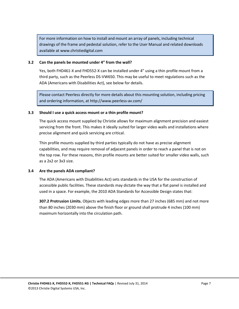For more information on how to install and mount an array of panels, including technical drawings of the frame and pedestal solution, refer to the User Manual and related downloads available at [www.christiedigital.com](http://www.christiedigital.com/)

#### <span id="page-6-0"></span>**3.2 Can the panels be mounted under 4" from the wall?**

Yes, both FHD461-X and FHD552-X can be installed under 4" using a thin profile mount from a third party, such as the Peerless DS-VW650. This may be useful to meet regulations such as the ADA (Americans with Disabilities Act), see below for details.

Please contact Peerless directly for more details about this mounting solution, including pricing and ordering information, a[t http://www.peerless-av.com/](http://www.peerless-av.com/)

#### <span id="page-6-1"></span>**3.3 Should I use a quick access mount or a thin profile mount?**

The quick access mount supplied by Christie allows for maximum alignment precision and easiest servicing from the front. This makes it ideally suited for larger video walls and installations where precise alignment and quick servicing are critical.

Thin profile mounts supplied by third parties typically do not have as precise alignment capabilities, and may require removal of adjacent panels in order to reach a panel that is not on the top row. For these reasons, thin profile mounts are better suited for smaller video walls, such as a 2x2 or 3x3 size.

#### <span id="page-6-2"></span>**3.4 Are the panels ADA compliant?**

The ADA (Americans with Disabilities Act) sets standards in the USA for the construction of accessible public facilities. These standards may dictate the way that a flat panel is installed and used in a space. For example, the 2010 ADA Standards for Accessible Design states that:

**307.2 Protrusion Limits.** Objects with leading edges more than 27 inches (685 mm) and not more than 80 inches (2030 mm) above the finish floor or ground shall protrude 4 inches (100 mm) maximum horizontally into the circulation path.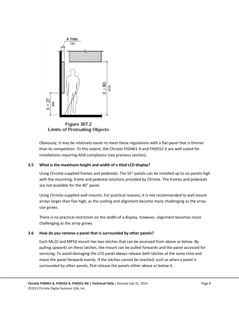

Obviously, it may be relatively easier to meet these regulations with a flat panel that is thinner than its competition. To this extent, the Christie FHD461-X and FHD552-X are well suited for installations requiring ADA compliance (see previous section).

#### <span id="page-7-0"></span>**3.5 What is the maximum height and width of a tiled LCD display?**

Using Christie-supplied frames and pedestals: The 55" panels can be installed up to six panels high with the mounting, frame and pedestal solutions provided by Christie. The frames and pedestals are not available for the 46" panel.

Using Christie-supplied wall mounts: For practical reasons, it is not recommended to wall mount arrays larger than five high, as the cooling and alignment become more challenging as the array size grows.

There is no practical restriction on the width of a display, however, alignment becomes more challenging as the array grows.

#### <span id="page-7-1"></span>**3.6 How do you remove a panel that is surrounded by other panels?**

Each ML10 and MP10 mount has two latches that can be accessed from above or below. By pulling upwards on these latches, the mount can be pulled forwards and the panel accessed for servicing. To avoid damaging the LCD panel always release both latches at the same time and move the panel forwards evenly. If the latches cannot be reached, such as when a panel is surrounded by other panels, first release the panels either above or below it.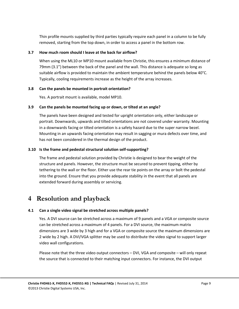Thin profile mounts supplied by third parties typically require each panel in a column to be fully removed, starting from the top down, in order to access a panel in the bottom row.

#### <span id="page-8-0"></span>**3.7 How much room should I leave at the back for airflow?**

When using the ML10 or MP10 mount available from Christie, this ensures a minimum distance of 79mm (3.1") between the back of the panel and the wall. This distance is adequate so long as suitable airflow is provided to maintain the ambient temperature behind the panels below 40°C. Typically, cooling requirements increase as the height of the array increases.

#### <span id="page-8-1"></span>**3.8 Can the panels be mounted in portrait orientation?**

Yes. A portrait mount is available, model MP10.

#### <span id="page-8-2"></span>**3.9 Can the panels be mounted facing up or down, or tilted at an angle?**

The panels have been designed and tested for upright orientation only, either landscape or portrait. Downwards, upwards and tilted orientations are not covered under warranty. Mounting in a downwards facing or tilted orientation is a safety hazard due to the super narrow bezel. Mounting in an upwards facing orientation may result in sagging or mura defects over time, and has not been considered in the thermal design of the product.

#### <span id="page-8-3"></span>**3.10 Is the frame and pedestal structural solution self-supporting?**

The frame and pedestal solution provided by Christie is designed to bear the weight of the structure and panels. However, the structure must be secured to prevent tipping, either by tethering to the wall or the floor. Either use the rear tie points on the array or bolt the pedestal into the ground. Ensure that you provide adequate stability in the event that all panels are extended forward during assembly or servicing.

### <span id="page-8-4"></span>**4 Resolution and playback**

#### <span id="page-8-5"></span>**4.1 Can a single video signal be stretched across multiple panels?**

Yes. A DVI source can be stretched across a maximum of 9 panels and a VGA or composite source can be stretched across a maximum of 4 panels. For a DVI source, the maximum matrix dimensions are 3 wide by 3 high and for a VGA or composite source the maximum dimensions are 2 wide by 2 high. A DVI/VGA splitter may be used to distribute the video signal to support larger video wall configurations.

Please note that the three video output connectors – DVI, VGA and composite – will only repeat the source that is connected to their matching input connectors. For instance, the DVI output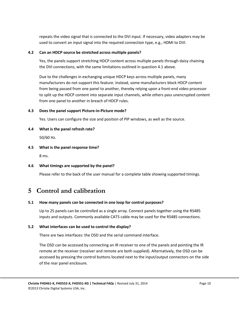repeats the video signal that is connected to the DVI input. If necessary, video adapters may be used to convert an input signal into the required connection type, e.g., HDMI to DVI.

#### <span id="page-9-0"></span>**4.2 Can an HDCP source be stretched across multiple panels?**

Yes, the panels support stretching HDCP content across multiple panels through daisy chaining the DVI connections, with the same limitations outlined in question [4.1](#page-8-5) above.

Due to the challenges in exchanging unique HDCP keys across multiple panels, many manufacturers do not support this feature. Instead, some manufacturers block HDCP content from being passed from one panel to another, thereby relying upon a front-end video processor to split up the HDCP content into separate input channels, while others pass unencrypted content from one panel to another in breach of HDCP rules.

#### <span id="page-9-1"></span>**4.3 Does the panel support Picture-in-Picture mode?**

Yes. Users can configure the size and position of PIP windows, as well as the source.

#### <span id="page-9-2"></span>**4.4 What is the panel refresh rate?**

50/60 Hz.

#### <span id="page-9-3"></span>**4.5 What is the panel response time?**

8 ms.

#### <span id="page-9-4"></span>**4.6 What timings are supported by the panel?**

Please refer to the back of the user manual for a complete table showing supported timings.

### <span id="page-9-5"></span>**5 Control and calibration**

#### <span id="page-9-6"></span>**5.1 How many panels can be connected in one loop for control purposes?**

Up to 25 panels can be controlled as a single array. Connect panels together using the RS485 inputs and outputs. Commonly available CAT5 cable may be used for the RS485 connections.

#### <span id="page-9-7"></span>**5.2 What interfaces can be used to control the display?**

There are two interfaces: the OSD and the serial command interface.

The OSD can be accessed by connecting an IR receiver to one of the panels and pointing the IR remote at the receiver (receiver and remote are both supplied). Alternatively, the OSD can be accessed by pressing the control buttons located next to the input/output connectors on the side of the rear panel enclosure.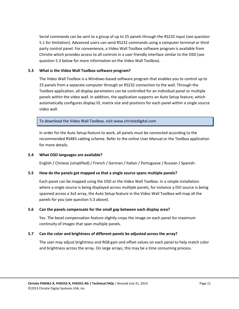Serial commands can be sent to a group of up to 25 panels through the RS232 input (see question [5.1](#page-9-6) for limitation). Advanced users can send RS232 commands using a computer terminal or third party control panel. For convenience, a Video Wall Toolbox software program is available from Christie which provides access to all controls in a user friendly interface similar to the OSD (see questio[n 5.3](#page-10-0) below for more information on the Video Wall Toolbox).

#### <span id="page-10-0"></span>**5.3 What is the Video Wall Toolbox software program?**

The Video Wall Toolbox is a Windows-based software program that enables you to control up to 25 panels from a separate computer through an RS232 connection to the wall. Through the Toolbox application, all display parameters can be controlled for an individual panel or multiple panels within the video wall. In addition, the application supports an Auto Setup feature, which automatically configures display ID, matrix size and positions for each panel within a single source video wall.

To download the Video Wall Toolbox, visi[t www.christiedigital.com](http://www.christiedigital.com/)

In order for the Auto Setup feature to work, all panels must be connected according to the recommended RS485 cabling scheme. Refer to the online User Manual or the Toolbox application for more details.

#### <span id="page-10-1"></span>**5.4 What OSD languages are available?**

English / Chinese (simplified) / French / German / Italian / Portuguese / Russian / Spanish.

#### <span id="page-10-2"></span>**5.5 How do the panels get mapped so that a single source spans multiple panels?**

Each panel can be mapped using the OSD or the Video Wall Toolbox. In a simple installation where a single source is being displayed across multiple panels, for instance a DVI source is being spanned across a 3x3 array, the Auto Setup feature in the Video Wall Toolbox will map all the panels for you (see questio[n 5.3](#page-10-0) above).

#### <span id="page-10-3"></span>**5.6 Can the panels compensate for the small gap between each display area?**

Yes. The bezel compensation feature slightly crops the image on each panel for maximum continuity of images that span multiple panels.

#### <span id="page-10-4"></span>**5.7 Can the color and brightness of different panels be adjusted across the array?**

The user may adjust brightness and RGB gain and offset values on each panel to help match color and brightness across the array. On large arrays, this may be a time consuming process.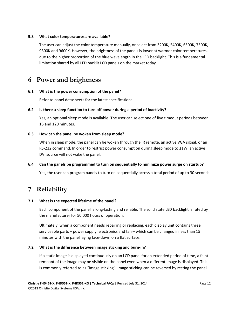#### <span id="page-11-0"></span>**5.8 What color temperatures are available?**

The user can adjust the color temperature manually, or select from 3200K, 5400K, 6500K, 7500K, 9300K and 9600K. However, the brightness of the panels is lower at warmer color temperatures, due to the higher proportion of the blue wavelength in the LED backlight. This is a fundamental limitation shared by all LED backlit LCD panels on the market today.

### <span id="page-11-1"></span>**6 Power and brightness**

#### <span id="page-11-2"></span>**6.1 What is the power consumption of the panel?**

Refer to panel datasheets for the latest specifications.

#### <span id="page-11-3"></span>**6.2 Is there a sleep function to turn off power during a period of inactivity?**

Yes, an optional sleep mode is available. The user can select one of five timeout periods between 15 and 120 minutes.

#### <span id="page-11-4"></span>**6.3 How can the panel be woken from sleep mode?**

When in sleep mode, the panel can be woken through the IR remote, an active VGA signal, or an RS-232 command. In order to restrict power consumption during sleep mode to ≤1W, an active DVI source will not wake the panel.

#### <span id="page-11-5"></span>**6.4 Can the panels be programmed to turn on sequentially to minimize power surge on startup?**

Yes, the user can program panels to turn on sequentially across a total period of up to 30 seconds.

# <span id="page-11-6"></span>**7 Reliability**

#### <span id="page-11-7"></span>**7.1 What is the expected lifetime of the panel?**

Each component of the panel is long-lasting and reliable. The solid state LED backlight is rated by the manufacturer for 50,000 hours of operation.

Ultimately, when a component needs repairing or replacing, each display unit contains three serviceable parts – power supply, electronics and fan – which can be changed in less than 15 minutes with the panel laying face-down on a flat surface.

#### <span id="page-11-8"></span>**7.2 What is the difference between image sticking and burn-in?**

If a static image is displayed continuously on an LCD panel for an extended period of time, a faint remnant of the image may be visible on the panel even when a different image is displayed. This is commonly referred to as "image sticking". Image sticking can be reversed by resting the panel.